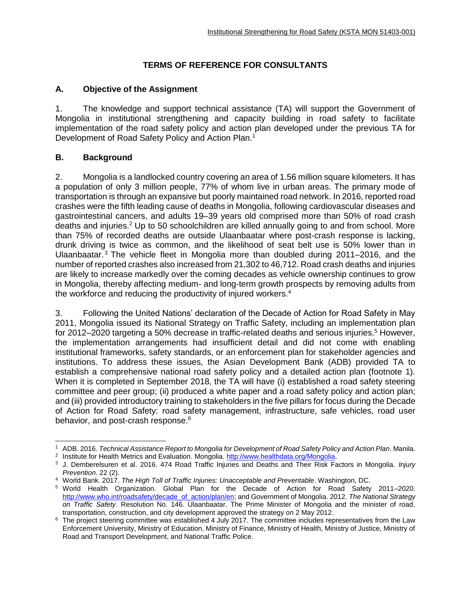## **TERMS OF REFERENCE FOR CONSULTANTS**

### **A. Objective of the Assignment**

1. The knowledge and support technical assistance (TA) will support the Government of Mongolia in institutional strengthening and capacity building in road safety to facilitate implementation of the road safety policy and action plan developed under the previous TA for Development of Road Safety Policy and Action Plan.<sup>1</sup>

### **B. Background**

2. Mongolia is a landlocked country covering an area of 1.56 million square kilometers. It has a population of only 3 million people, 77% of whom live in urban areas. The primary mode of transportation is through an expansive but poorly maintained road network. In 2016, reported road crashes were the fifth leading cause of deaths in Mongolia, following cardiovascular diseases and gastrointestinal cancers, and adults 19–39 years old comprised more than 50% of road crash deaths and injuries.<sup>2</sup> Up to 50 schoolchildren are killed annually going to and from school. More than 75% of recorded deaths are outside Ulaanbaatar where post-crash response is lacking, drunk driving is twice as common, and the likelihood of seat belt use is 50% lower than in Ulaanbaatar.<sup>3</sup> The vehicle fleet in Mongolia more than doubled during  $2011-2016$ , and the number of reported crashes also increased from 21,302 to 46,712. Road crash deaths and injuries are likely to increase markedly over the coming decades as vehicle ownership continues to grow in Mongolia, thereby affecting medium- and long-term growth prospects by removing adults from the workforce and reducing the productivity of injured workers.<sup>4</sup>

3. Following the United Nations' declaration of the Decade of Action for Road Safety in May 2011, Mongolia issued its National Strategy on Traffic Safety, including an implementation plan for 2012–2020 targeting a 50% decrease in traffic-related deaths and serious injuries.<sup>5</sup> However, the implementation arrangements had insufficient detail and did not come with enabling institutional frameworks, safety standards, or an enforcement plan for stakeholder agencies and institutions. To address these issues, the Asian Development Bank (ADB) provided TA to establish a comprehensive national road safety policy and a detailed action plan (footnote 1). When it is completed in September 2018, the TA will have (i) established a road safety steering committee and peer group; (ii) produced a white paper and a road safety policy and action plan; and (iii) provided introductory training to stakeholders in the five pillars for focus during the Decade of Action for Road Safety: road safety management, infrastructure, safe vehicles, road user behavior, and post-crash response.<sup>6</sup>

<sup>1</sup> ADB. 2016. *Technical Assistance Report to Mongolia for Development of Road Safety Policy and Action Plan*. Manila.

<sup>&</sup>lt;sup>2</sup> Institute for Health Metrics and Evaluation. Mongolia[. http://www.healthdata.org/Mongolia.](http://www.healthdata.org/Mongolia)

<sup>3</sup> J. Demberelsuren et al. 2016. 474 Road Traffic Injuries and Deaths and Their Risk Factors in Mongolia. *Injury Prevention*. 22 (2).

<sup>4</sup> World Bank. 2017. *The High Toll of Traffic Injuries: Unacceptable and Preventable*. Washington, DC.

<sup>5</sup> World Health Organization. Global Plan for the Decade of Action for Road Safety 2011–2020. [http://www.who.int/roadsafety/decade\\_of\\_action/plan/en;](http://www.who.int/roadsafety/decade_of_action/plan/en) and Government of Mongolia. 2012. *The National Strategy on Traffic Safety*. Resolution No. 146. Ulaanbaatar. The Prime Minister of Mongolia and the minister of road, transportation, construction, and city development approved the strategy on 2 May 2012.

 $6$  The project steering committee was established 4 July 2017. The committee includes representatives from the Law Enforcement University, Ministry of Education, Ministry of Finance, Ministry of Health, Ministry of Justice, Ministry of Road and Transport Development, and National Traffic Police.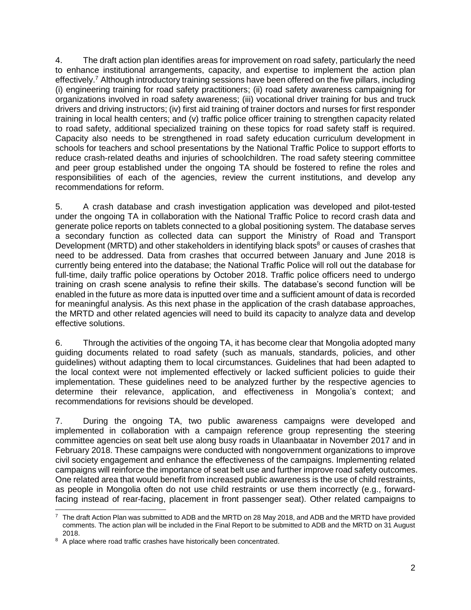4. The draft action plan identifies areas for improvement on road safety, particularly the need to enhance institutional arrangements, capacity, and expertise to implement the action plan effectively.<sup>7</sup> Although introductory training sessions have been offered on the five pillars, including (i) engineering training for road safety practitioners; (ii) road safety awareness campaigning for organizations involved in road safety awareness; (iii) vocational driver training for bus and truck drivers and driving instructors; (iv) first aid training of trainer doctors and nurses for first responder training in local health centers; and (v) traffic police officer training to strengthen capacity related to road safety, additional specialized training on these topics for road safety staff is required. Capacity also needs to be strengthened in road safety education curriculum development in schools for teachers and school presentations by the National Traffic Police to support efforts to reduce crash-related deaths and injuries of schoolchildren. The road safety steering committee and peer group established under the ongoing TA should be fostered to refine the roles and responsibilities of each of the agencies, review the current institutions, and develop any recommendations for reform.

5. A crash database and crash investigation application was developed and pilot-tested under the ongoing TA in collaboration with the National Traffic Police to record crash data and generate police reports on tablets connected to a global positioning system. The database serves a secondary function as collected data can support the Ministry of Road and Transport Development (MRTD) and other stakeholders in identifying black spots<sup>8</sup> or causes of crashes that need to be addressed. Data from crashes that occurred between January and June 2018 is currently being entered into the database; the National Traffic Police will roll out the database for full-time, daily traffic police operations by October 2018. Traffic police officers need to undergo training on crash scene analysis to refine their skills. The database's second function will be enabled in the future as more data is inputted over time and a sufficient amount of data is recorded for meaningful analysis. As this next phase in the application of the crash database approaches, the MRTD and other related agencies will need to build its capacity to analyze data and develop effective solutions.

6. Through the activities of the ongoing TA, it has become clear that Mongolia adopted many guiding documents related to road safety (such as manuals, standards, policies, and other guidelines) without adapting them to local circumstances. Guidelines that had been adapted to the local context were not implemented effectively or lacked sufficient policies to guide their implementation. These guidelines need to be analyzed further by the respective agencies to determine their relevance, application, and effectiveness in Mongolia's context; and recommendations for revisions should be developed.

7. During the ongoing TA, two public awareness campaigns were developed and implemented in collaboration with a campaign reference group representing the steering committee agencies on seat belt use along busy roads in Ulaanbaatar in November 2017 and in February 2018. These campaigns were conducted with nongovernment organizations to improve civil society engagement and enhance the effectiveness of the campaigns. Implementing related campaigns will reinforce the importance of seat belt use and further improve road safety outcomes. One related area that would benefit from increased public awareness is the use of child restraints, as people in Mongolia often do not use child restraints or use them incorrectly (e.g., forwardfacing instead of rear-facing, placement in front passenger seat). Other related campaigns to

 $\overline{a}$  $7$  The draft Action Plan was submitted to ADB and the MRTD on 28 May 2018, and ADB and the MRTD have provided comments. The action plan will be included in the Final Report to be submitted to ADB and the MRTD on 31 August 2018.

<sup>&</sup>lt;sup>8</sup> A place where road traffic crashes have historically been concentrated.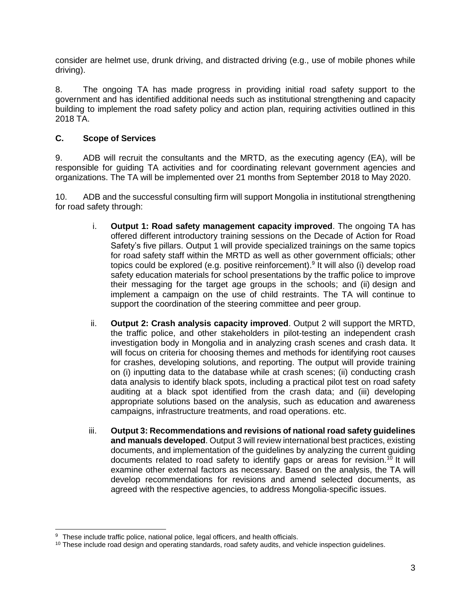consider are helmet use, drunk driving, and distracted driving (e.g., use of mobile phones while driving).

8. The ongoing TA has made progress in providing initial road safety support to the government and has identified additional needs such as institutional strengthening and capacity building to implement the road safety policy and action plan, requiring activities outlined in this 2018 TA.

### **C. Scope of Services**

9. ADB will recruit the consultants and the MRTD, as the executing agency (EA), will be responsible for guiding TA activities and for coordinating relevant government agencies and organizations. The TA will be implemented over 21 months from September 2018 to May 2020.

10. ADB and the successful consulting firm will support Mongolia in institutional strengthening for road safety through:

- i. **Output 1: Road safety management capacity improved**. The ongoing TA has offered different introductory training sessions on the Decade of Action for Road Safety's five pillars. Output 1 will provide specialized trainings on the same topics for road safety staff within the MRTD as well as other government officials; other topics could be explored (e.g. positive reinforcement). 9 It will also (i) develop road safety education materials for school presentations by the traffic police to improve their messaging for the target age groups in the schools; and (ii) design and implement a campaign on the use of child restraints. The TA will continue to support the coordination of the steering committee and peer group.
- ii. **Output 2: Crash analysis capacity improved**. Output 2 will support the MRTD, the traffic police, and other stakeholders in pilot-testing an independent crash investigation body in Mongolia and in analyzing crash scenes and crash data. It will focus on criteria for choosing themes and methods for identifying root causes for crashes, developing solutions, and reporting. The output will provide training on (i) inputting data to the database while at crash scenes; (ii) conducting crash data analysis to identify black spots, including a practical pilot test on road safety auditing at a black spot identified from the crash data; and (iii) developing appropriate solutions based on the analysis, such as education and awareness campaigns, infrastructure treatments, and road operations. etc.
- iii. **Output 3: Recommendations and revisions of national road safety guidelines and manuals developed**. Output 3 will review international best practices, existing documents, and implementation of the guidelines by analyzing the current guiding documents related to road safety to identify gaps or areas for revision.<sup>10</sup> It will examine other external factors as necessary. Based on the analysis, the TA will develop recommendations for revisions and amend selected documents, as agreed with the respective agencies, to address Mongolia-specific issues.

 <sup>9</sup> These include traffic police, national police, legal officers, and health officials.

 $10$  These include road design and operating standards, road safety audits, and vehicle inspection guidelines.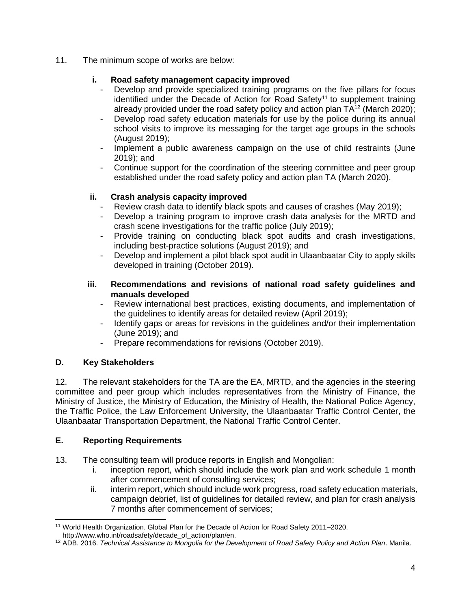11. The minimum scope of works are below:

### **i. Road safety management capacity improved**

- Develop and provide specialized training programs on the five pillars for focus identified under the Decade of Action for Road Safety<sup>11</sup> to supplement training already provided under the road safety policy and action plan  $TA^{12}$  (March 2020);
- Develop road safety education materials for use by the police during its annual school visits to improve its messaging for the target age groups in the schools (August 2019);
- Implement a public awareness campaign on the use of child restraints (June 2019); and
- Continue support for the coordination of the steering committee and peer group established under the road safety policy and action plan TA (March 2020).

### **ii. Crash analysis capacity improved**

- Review crash data to identify black spots and causes of crashes (May 2019);
- Develop a training program to improve crash data analysis for the MRTD and crash scene investigations for the traffic police (July 2019);
- Provide training on conducting black spot audits and crash investigations, including best-practice solutions (August 2019); and
- Develop and implement a pilot black spot audit in Ulaanbaatar City to apply skills developed in training (October 2019).
- **iii. Recommendations and revisions of national road safety guidelines and manuals developed**
	- Review international best practices, existing documents, and implementation of the guidelines to identify areas for detailed review (April 2019);
	- Identify gaps or areas for revisions in the guidelines and/or their implementation (June 2019); and
	- Prepare recommendations for revisions (October 2019).

# **D. Key Stakeholders**

12. The relevant stakeholders for the TA are the EA, MRTD, and the agencies in the steering committee and peer group which includes representatives from the Ministry of Finance, the Ministry of Justice, the Ministry of Education, the Ministry of Health, the National Police Agency, the Traffic Police, the Law Enforcement University, the Ulaanbaatar Traffic Control Center, the Ulaanbaatar Transportation Department, the National Traffic Control Center.

# **E. Reporting Requirements**

- 13. The consulting team will produce reports in English and Mongolian:
	- i. inception report, which should include the work plan and work schedule 1 month after commencement of consulting services;
	- ii. interim report, which should include work progress, road safety education materials, campaign debrief, list of guidelines for detailed review, and plan for crash analysis 7 months after commencement of services;

 <sup>11</sup> World Health Organization. Global Plan for the Decade of Action for Road Safety 2011–2020.

http://www.who.int/roadsafety/decade\_of\_action/plan/en.

<sup>12</sup> ADB. 2016. *Technical Assistance to Mongolia for the Development of Road Safety Policy and Action Plan*. Manila.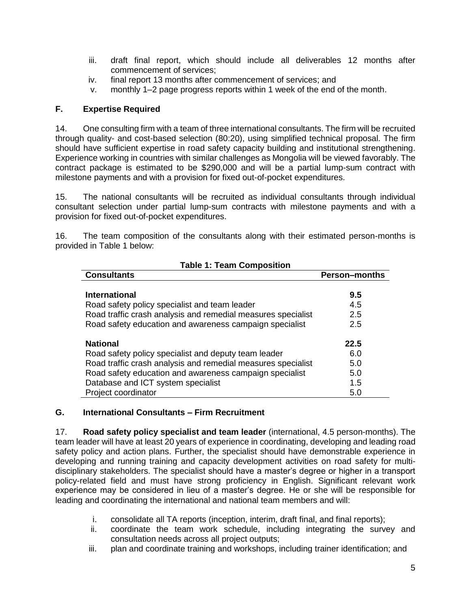- iii. draft final report, which should include all deliverables 12 months after commencement of services;
- iv. final report 13 months after commencement of services; and
- v. monthly 1–2 page progress reports within 1 week of the end of the month.

### **F. Expertise Required**

14. One consulting firm with a team of three international consultants. The firm will be recruited through quality- and cost-based selection (80:20), using simplified technical proposal. The firm should have sufficient expertise in road safety capacity building and institutional strengthening. Experience working in countries with similar challenges as Mongolia will be viewed favorably. The contract package is estimated to be \$290,000 and will be a partial lump-sum contract with milestone payments and with a provision for fixed out-of-pocket expenditures.

15. The national consultants will be recruited as individual consultants through individual consultant selection under partial lump-sum contracts with milestone payments and with a provision for fixed out-of-pocket expenditures.

16. The team composition of the consultants along with their estimated person-months is provided in Table 1 below:

| <b>Table 1: Team Composition</b>                             |                      |
|--------------------------------------------------------------|----------------------|
| <b>Consultants</b>                                           | <b>Person-months</b> |
|                                                              |                      |
| <b>International</b>                                         | 9.5                  |
| Road safety policy specialist and team leader                | 4.5                  |
| Road traffic crash analysis and remedial measures specialist | 2.5                  |
| Road safety education and awareness campaign specialist      | 2.5                  |
| <b>National</b>                                              | 22.5                 |
| Road safety policy specialist and deputy team leader         | 6.0                  |
| Road traffic crash analysis and remedial measures specialist | 5.0                  |
| Road safety education and awareness campaign specialist      | 5.0                  |
| Database and ICT system specialist                           | 1.5                  |
| Project coordinator                                          | 5.0                  |

#### **G. International Consultants – Firm Recruitment**

17. **Road safety policy specialist and team leader** (international, 4.5 person-months). The team leader will have at least 20 years of experience in coordinating, developing and leading road safety policy and action plans. Further, the specialist should have demonstrable experience in developing and running training and capacity development activities on road safety for multidisciplinary stakeholders. The specialist should have a master's degree or higher in a transport policy-related field and must have strong proficiency in English. Significant relevant work experience may be considered in lieu of a master's degree. He or she will be responsible for leading and coordinating the international and national team members and will:

- i. consolidate all TA reports (inception, interim, draft final, and final reports);
- ii. coordinate the team work schedule, including integrating the survey and consultation needs across all project outputs;
- iii. plan and coordinate training and workshops, including trainer identification; and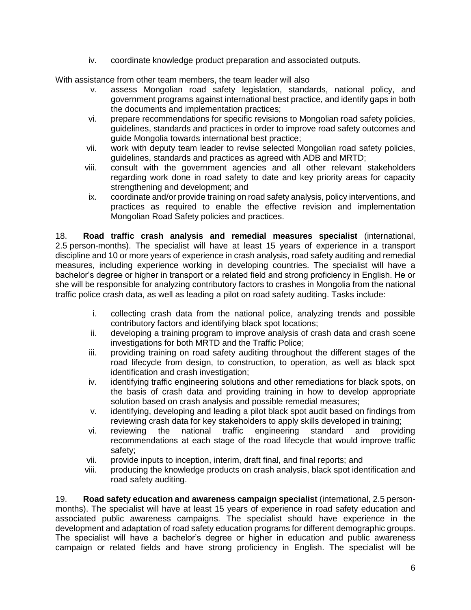iv. coordinate knowledge product preparation and associated outputs.

With assistance from other team members, the team leader will also

- v. assess Mongolian road safety legislation, standards, national policy, and government programs against international best practice, and identify gaps in both the documents and implementation practices;
- vi. prepare recommendations for specific revisions to Mongolian road safety policies, guidelines, standards and practices in order to improve road safety outcomes and guide Mongolia towards international best practice;
- vii. work with deputy team leader to revise selected Mongolian road safety policies, guidelines, standards and practices as agreed with ADB and MRTD;
- viii. consult with the government agencies and all other relevant stakeholders regarding work done in road safety to date and key priority areas for capacity strengthening and development; and
- ix. coordinate and/or provide training on road safety analysis, policy interventions, and practices as required to enable the effective revision and implementation Mongolian Road Safety policies and practices.

18. **Road traffic crash analysis and remedial measures specialist** (international, 2.5 person-months). The specialist will have at least 15 years of experience in a transport discipline and 10 or more years of experience in crash analysis, road safety auditing and remedial measures, including experience working in developing countries. The specialist will have a bachelor's degree or higher in transport or a related field and strong proficiency in English. He or she will be responsible for analyzing contributory factors to crashes in Mongolia from the national traffic police crash data, as well as leading a pilot on road safety auditing. Tasks include:

- i. collecting crash data from the national police, analyzing trends and possible contributory factors and identifying black spot locations;
- ii. developing a training program to improve analysis of crash data and crash scene investigations for both MRTD and the Traffic Police;
- iii. providing training on road safety auditing throughout the different stages of the road lifecycle from design, to construction, to operation, as well as black spot identification and crash investigation;
- iv. identifying traffic engineering solutions and other remediations for black spots, on the basis of crash data and providing training in how to develop appropriate solution based on crash analysis and possible remedial measures;
- v. identifying, developing and leading a pilot black spot audit based on findings from reviewing crash data for key stakeholders to apply skills developed in training;
- vi. reviewing the national traffic engineering standard and providing recommendations at each stage of the road lifecycle that would improve traffic safety;
- vii. provide inputs to inception, interim, draft final, and final reports; and
- viii. producing the knowledge products on crash analysis, black spot identification and road safety auditing.

19. **Road safety education and awareness campaign specialist** (international, 2.5 personmonths). The specialist will have at least 15 years of experience in road safety education and associated public awareness campaigns. The specialist should have experience in the development and adaptation of road safety education programs for different demographic groups. The specialist will have a bachelor's degree or higher in education and public awareness campaign or related fields and have strong proficiency in English. The specialist will be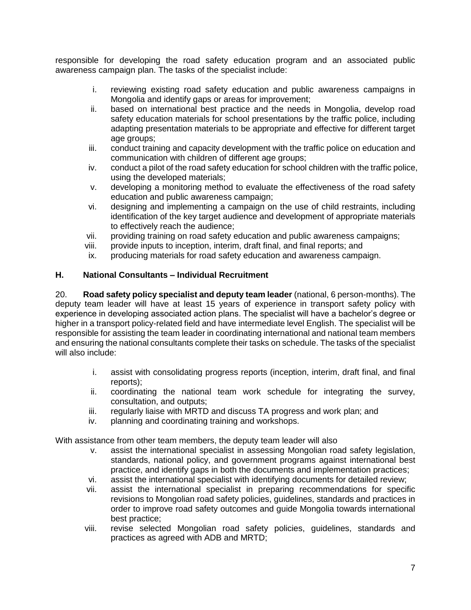responsible for developing the road safety education program and an associated public awareness campaign plan. The tasks of the specialist include:

- i. reviewing existing road safety education and public awareness campaigns in Mongolia and identify gaps or areas for improvement:
- ii. based on international best practice and the needs in Mongolia, develop road safety education materials for school presentations by the traffic police, including adapting presentation materials to be appropriate and effective for different target age groups;
- iii. conduct training and capacity development with the traffic police on education and communication with children of different age groups;
- iv. conduct a pilot of the road safety education for school children with the traffic police, using the developed materials;
- v. developing a monitoring method to evaluate the effectiveness of the road safety education and public awareness campaign;
- vi. designing and implementing a campaign on the use of child restraints, including identification of the key target audience and development of appropriate materials to effectively reach the audience;
- vii. providing training on road safety education and public awareness campaigns;
- viii. provide inputs to inception, interim, draft final, and final reports; and
- ix. producing materials for road safety education and awareness campaign.

### **H. National Consultants – Individual Recruitment**

20. **Road safety policy specialist and deputy team leader** (national, 6 person-months). The deputy team leader will have at least 15 years of experience in transport safety policy with experience in developing associated action plans. The specialist will have a bachelor's degree or higher in a transport policy-related field and have intermediate level English. The specialist will be responsible for assisting the team leader in coordinating international and national team members and ensuring the national consultants complete their tasks on schedule. The tasks of the specialist will also include:

- i. assist with consolidating progress reports (inception, interim, draft final, and final reports);
- ii. coordinating the national team work schedule for integrating the survey, consultation, and outputs;
- iii. regularly liaise with MRTD and discuss TA progress and work plan; and
- iv. planning and coordinating training and workshops.

With assistance from other team members, the deputy team leader will also

- v. assist the international specialist in assessing Mongolian road safety legislation, standards, national policy, and government programs against international best practice, and identify gaps in both the documents and implementation practices;
- vi. assist the international specialist with identifying documents for detailed review;
- vii. assist the international specialist in preparing recommendations for specific revisions to Mongolian road safety policies, guidelines, standards and practices in order to improve road safety outcomes and guide Mongolia towards international best practice;
- viii. revise selected Mongolian road safety policies, guidelines, standards and practices as agreed with ADB and MRTD;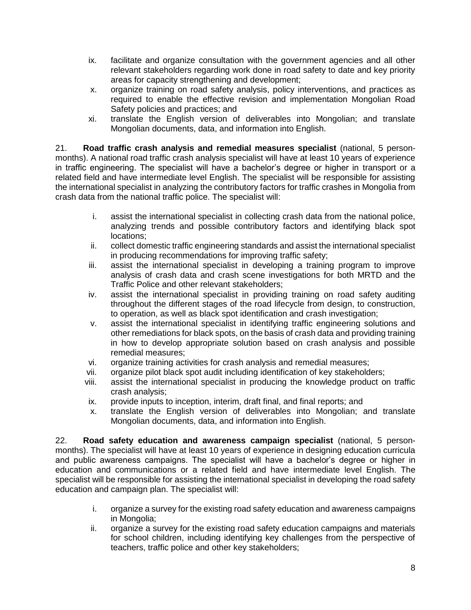- ix. facilitate and organize consultation with the government agencies and all other relevant stakeholders regarding work done in road safety to date and key priority areas for capacity strengthening and development;
- x. organize training on road safety analysis, policy interventions, and practices as required to enable the effective revision and implementation Mongolian Road Safety policies and practices; and
- xi. translate the English version of deliverables into Mongolian; and translate Mongolian documents, data, and information into English.

21. **Road traffic crash analysis and remedial measures specialist** (national, 5 personmonths). A national road traffic crash analysis specialist will have at least 10 years of experience in traffic engineering. The specialist will have a bachelor's degree or higher in transport or a related field and have intermediate level English. The specialist will be responsible for assisting the international specialist in analyzing the contributory factors for traffic crashes in Mongolia from crash data from the national traffic police. The specialist will:

- i. assist the international specialist in collecting crash data from the national police, analyzing trends and possible contributory factors and identifying black spot locations;
- ii. collect domestic traffic engineering standards and assist the international specialist in producing recommendations for improving traffic safety;
- iii. assist the international specialist in developing a training program to improve analysis of crash data and crash scene investigations for both MRTD and the Traffic Police and other relevant stakeholders;
- iv. assist the international specialist in providing training on road safety auditing throughout the different stages of the road lifecycle from design, to construction, to operation, as well as black spot identification and crash investigation;
- v. assist the international specialist in identifying traffic engineering solutions and other remediations for black spots, on the basis of crash data and providing training in how to develop appropriate solution based on crash analysis and possible remedial measures;
- vi. organize training activities for crash analysis and remedial measures;
- vii. organize pilot black spot audit including identification of key stakeholders;
- viii. assist the international specialist in producing the knowledge product on traffic crash analysis;
- ix. provide inputs to inception, interim, draft final, and final reports; and
- x. translate the English version of deliverables into Mongolian; and translate Mongolian documents, data, and information into English.

22. **Road safety education and awareness campaign specialist** (national, 5 personmonths). The specialist will have at least 10 years of experience in designing education curricula and public awareness campaigns. The specialist will have a bachelor's degree or higher in education and communications or a related field and have intermediate level English. The specialist will be responsible for assisting the international specialist in developing the road safety education and campaign plan. The specialist will:

- i. organize a survey for the existing road safety education and awareness campaigns in Mongolia;
- ii. organize a survey for the existing road safety education campaigns and materials for school children, including identifying key challenges from the perspective of teachers, traffic police and other key stakeholders;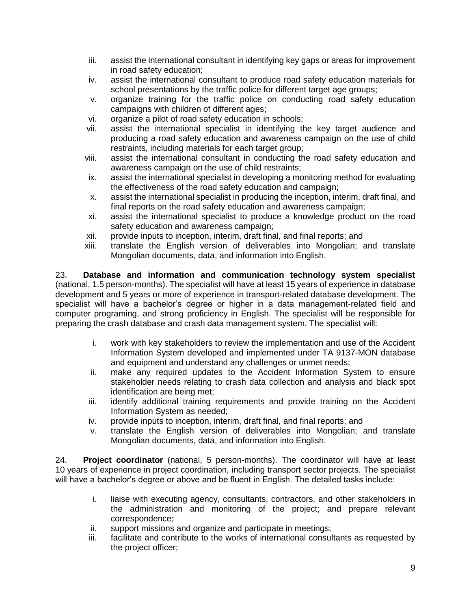- iii. assist the international consultant in identifying key gaps or areas for improvement in road safety education;
- iv. assist the international consultant to produce road safety education materials for school presentations by the traffic police for different target age groups;
- v. organize training for the traffic police on conducting road safety education campaigns with children of different ages;
- vi. organize a pilot of road safety education in schools;
- vii. assist the international specialist in identifying the key target audience and producing a road safety education and awareness campaign on the use of child restraints, including materials for each target group;
- viii. assist the international consultant in conducting the road safety education and awareness campaign on the use of child restraints;
- ix. assist the international specialist in developing a monitoring method for evaluating the effectiveness of the road safety education and campaign;
- x. assist the international specialist in producing the inception, interim, draft final, and final reports on the road safety education and awareness campaign;
- xi. assist the international specialist to produce a knowledge product on the road safety education and awareness campaign;
- xii. provide inputs to inception, interim, draft final, and final reports; and
- xiii. translate the English version of deliverables into Mongolian; and translate Mongolian documents, data, and information into English.

23. **Database and information and communication technology system specialist**  (national, 1.5 person-months). The specialist will have at least 15 years of experience in database development and 5 years or more of experience in transport-related database development. The specialist will have a bachelor's degree or higher in a data management-related field and computer programing, and strong proficiency in English. The specialist will be responsible for preparing the crash database and crash data management system. The specialist will:

- i. work with key stakeholders to review the implementation and use of the Accident Information System developed and implemented under TA 9137-MON database and equipment and understand any challenges or unmet needs;
- ii. make any required updates to the Accident Information System to ensure stakeholder needs relating to crash data collection and analysis and black spot identification are being met;
- iii. identify additional training requirements and provide training on the Accident Information System as needed;
- iv. provide inputs to inception, interim, draft final, and final reports; and
- v. translate the English version of deliverables into Mongolian; and translate Mongolian documents, data, and information into English.

24. **Project coordinator** (national, 5 person-months). The coordinator will have at least 10 years of experience in project coordination, including transport sector projects. The specialist will have a bachelor's degree or above and be fluent in English. The detailed tasks include:

- i. liaise with executing agency, consultants, contractors, and other stakeholders in the administration and monitoring of the project; and prepare relevant correspondence;
- ii. support missions and organize and participate in meetings;
- iii. facilitate and contribute to the works of international consultants as requested by the project officer;